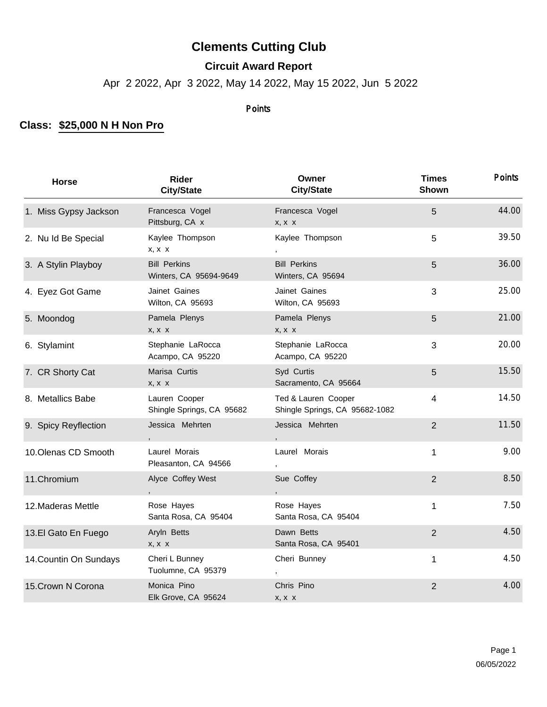## **Clements Cutting Club**

## **Circuit Award Report**

Apr 2 2022, Apr 3 2022, May 14 2022, May 15 2022, Jun 5 2022

## Points

## **Class: \$25,000 N H Non Pro**

| Horse                  | <b>Rider</b><br><b>City/State</b>             | Owner<br><b>City/State</b>                            | <b>Times</b><br>Shown | <b>Points</b> |
|------------------------|-----------------------------------------------|-------------------------------------------------------|-----------------------|---------------|
| 1. Miss Gypsy Jackson  | Francesca Vogel<br>Pittsburg, CA x            | Francesca Vogel<br>$X, X \ X$                         | 5                     | 44.00         |
| 2. Nu Id Be Special    | Kaylee Thompson<br>x, x x                     | Kaylee Thompson                                       | 5                     | 39.50         |
| 3. A Stylin Playboy    | <b>Bill Perkins</b><br>Winters, CA 95694-9649 | <b>Bill Perkins</b><br>Winters, CA 95694              | 5                     | 36.00         |
| 4. Eyez Got Game       | Jainet Gaines<br>Wilton, CA 95693             | Jainet Gaines<br>Wilton, CA 95693                     | 3                     | 25.00         |
| 5. Moondog             | Pamela Plenys<br>x, x x                       | Pamela Plenys<br>x, x x                               | 5                     | 21.00         |
| 6. Stylamint           | Stephanie LaRocca<br>Acampo, CA 95220         | Stephanie LaRocca<br>Acampo, CA 95220                 | 3                     | 20.00         |
| 7. CR Shorty Cat       | Marisa Curtis<br>$X, X \ X$                   | Syd Curtis<br>Sacramento, CA 95664                    | 5                     | 15.50         |
| 8. Metallics Babe      | Lauren Cooper<br>Shingle Springs, CA 95682    | Ted & Lauren Cooper<br>Shingle Springs, CA 95682-1082 | 4                     | 14.50         |
| 9. Spicy Reyflection   | Jessica Mehrten                               | Jessica Mehrten                                       | $\overline{2}$        | 11.50         |
| 10. Olenas CD Smooth   | Laurel Morais<br>Pleasanton, CA 94566         | Laurel Morais                                         | $\mathbf{1}$          | 9.00          |
| 11.Chromium            | Alyce Coffey West                             | Sue Coffey                                            | $\overline{2}$        | 8.50          |
| 12. Maderas Mettle     | Rose Hayes<br>Santa Rosa, CA 95404            | Rose Hayes<br>Santa Rosa, CA 95404                    | $\mathbf{1}$          | 7.50          |
| 13.El Gato En Fuego    | Aryln Betts<br>$X, X \ X$                     | Dawn Betts<br>Santa Rosa, CA 95401                    | $\overline{2}$        | 4.50          |
| 14. Countin On Sundays | Cheri L Bunney<br>Tuolumne, CA 95379          | Cheri Bunney                                          | $\mathbf{1}$          | 4.50          |
| 15. Crown N Corona     | Monica Pino<br>Elk Grove, CA 95624            | Chris Pino<br>$X, X \ X$                              | $\overline{2}$        | 4.00          |